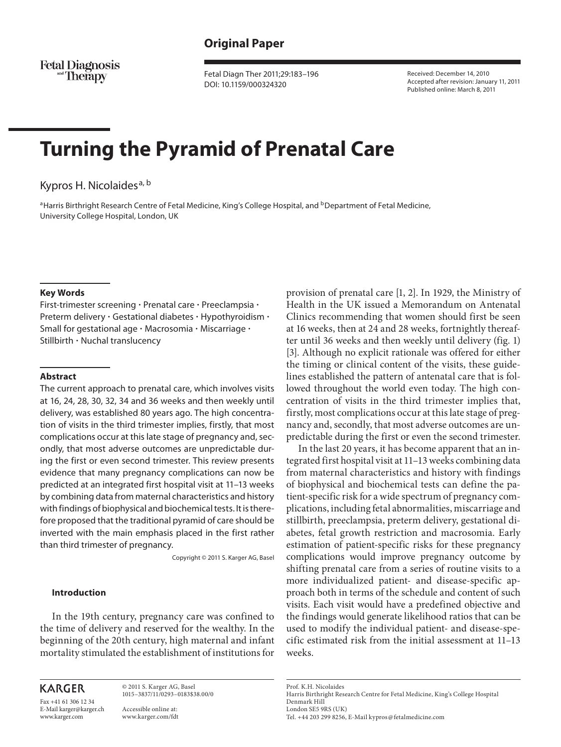**Fetal Diagnosis** and **Therapy** 

 Fetal Diagn Ther 2011;29:183–196 DOI: 10.1159/000324320

 Received: December 14, 2010 Accepted after revision: January 11, 2011 Published online: March 8, 2011

# **Turning the Pyramid of Prenatal Care**

## Kypros H. Nicolaides<sup>a, b</sup>

<sup>a</sup> Harris Birthright Research Centre of Fetal Medicine, King's College Hospital, and <sup>b</sup> Department of Fetal Medicine, University College Hospital, London, UK

#### **Key Words**

First-trimester screening · Prenatal care · Preeclampsia · Preterm delivery · Gestational diabetes · Hypothyroidism · Small for gestational age · Macrosomia · Miscarriage · Stillbirth - Nuchal translucency

#### **Abstract**

 The current approach to prenatal care, which involves visits at 16, 24, 28, 30, 32, 34 and 36 weeks and then weekly until delivery, was established 80 years ago. The high concentration of visits in the third trimester implies, firstly, that most complications occur at this late stage of pregnancy and, secondly, that most adverse outcomes are unpredictable during the first or even second trimester. This review presents evidence that many pregnancy complications can now be predicted at an integrated first hospital visit at 11–13 weeks by combining data from maternal characteristics and history with findings of biophysical and biochemical tests. It is therefore proposed that the traditional pyramid of care should be inverted with the main emphasis placed in the first rather than third trimester of pregnancy.

Copyright © 2011 S. Karger AG, Basel

#### **Introduction**

 In the 19th century, pregnancy care was confined to the time of delivery and reserved for the wealthy. In the beginning of the 20th century, high maternal and infant mortality stimulated the establishment of institutions for

## **KARGER**

Fax +41 61 306 12 34 E-Mail karger@karger.ch www.karger.com

 © 2011 S. Karger AG, Basel 1015–3837/11/0293–0183\$38.00/0

 Accessible online at: www.karger.com/fdt provision of prenatal care [1, 2]. In 1929, the Ministry of Health in the UK issued a Memorandum on Antenatal Clinics recommending that women should first be seen at 16 weeks, then at 24 and 28 weeks, fortnightly thereafter until 36 weeks and then weekly until delivery (fig. 1) [3]. Although no explicit rationale was offered for either the timing or clinical content of the visits, these guidelines established the pattern of antenatal care that is followed throughout the world even today. The high concentration of visits in the third trimester implies that, firstly, most complications occur at this late stage of pregnancy and, secondly, that most adverse outcomes are unpredictable during the first or even the second trimester.

 In the last 20 years, it has become apparent that an integrated first hospital visit at 11–13 weeks combining data from maternal characteristics and history with findings of biophysical and biochemical tests can define the patient-specific risk for a wide spectrum of pregnancy complications, including fetal abnormalities, miscarriage and stillbirth, preeclampsia, preterm delivery, gestational diabetes, fetal growth restriction and macrosomia. Early estimation of patient-specific risks for these pregnancy complications would improve pregnancy outcome by shifting prenatal care from a series of routine visits to a more individualized patient- and disease-specific approach both in terms of the schedule and content of such visits. Each visit would have a predefined objective and the findings would generate likelihood ratios that can be used to modify the individual patient- and disease-specific estimated risk from the initial assessment at 11–13 weeks.

 Prof. K.H. Nicolaides Harris Birthright Research Centre for Fetal Medicine, King's College Hospital Denmark Hill London SE5 9RS (UK) Tel. +44 203 299 8256, E-Mail kypros @ fetalmedicine.com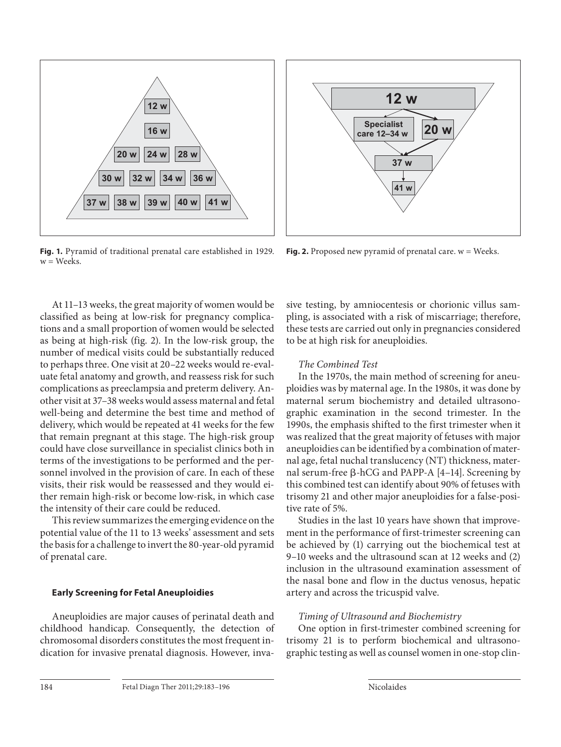

**Fig. 1.** Pyramid of traditional prenatal care established in 1929.  $w = \text{Weeks.}$ 

 At 11–13 weeks, the great majority of women would be classified as being at low-risk for pregnancy complications and a small proportion of women would be selected as being at high-risk (fig. 2). In the low-risk group, the number of medical visits could be substantially reduced to perhaps three. One visit at 20–22 weeks would re-evaluate fetal anatomy and growth, and reassess risk for such complications as preeclampsia and preterm delivery. Another visit at 37–38 weeks would assess maternal and fetal well-being and determine the best time and method of delivery, which would be repeated at 41 weeks for the few that remain pregnant at this stage. The high-risk group could have close surveillance in specialist clinics both in terms of the investigations to be performed and the personnel involved in the provision of care. In each of these visits, their risk would be reassessed and they would either remain high-risk or become low-risk, in which case the intensity of their care could be reduced.

 This review summarizes the emerging evidence on the potential value of the 11 to 13 weeks' assessment and sets the basis for a challenge to invert the 80-year-old pyramid of prenatal care.

#### **Early Screening for Fetal Aneuploidies**

 Aneuploidies are major causes of perinatal death and childhood handicap. Consequently, the detection of chromosomal disorders constitutes the most frequent indication for invasive prenatal diagnosis. However, inva-



**Fig. 2.** Proposed new pyramid of prenatal care.  $w = \text{Weeks.}$ 

sive testing, by amniocentesis or chorionic villus sampling, is associated with a risk of miscarriage; therefore, these tests are carried out only in pregnancies considered to be at high risk for aneuploidies.

#### *The Combined Test*

 In the 1970s, the main method of screening for aneuploidies was by maternal age. In the 1980s, it was done by maternal serum biochemistry and detailed ultrasonographic examination in the second trimester. In the 1990s, the emphasis shifted to the first trimester when it was realized that the great majority of fetuses with major aneuploidies can be identified by a combination of maternal age, fetal nuchal translucency (NT) thickness, maternal serum-free β-hCG and PAPP-A [4-14]. Screening by this combined test can identify about 90% of fetuses with trisomy 21 and other major aneuploidies for a false-positive rate of 5%.

 Studies in the last 10 years have shown that improvement in the performance of first-trimester screening can be achieved by (1) carrying out the biochemical test at 9–10 weeks and the ultrasound scan at 12 weeks and (2) inclusion in the ultrasound examination assessment of the nasal bone and flow in the ductus venosus, hepatic artery and across the tricuspid valve.

#### *Timing of Ultrasound and Biochemistry*

 One option in first-trimester combined screening for trisomy 21 is to perform biochemical and ultrasonographic testing as well as counsel women in one-stop clin-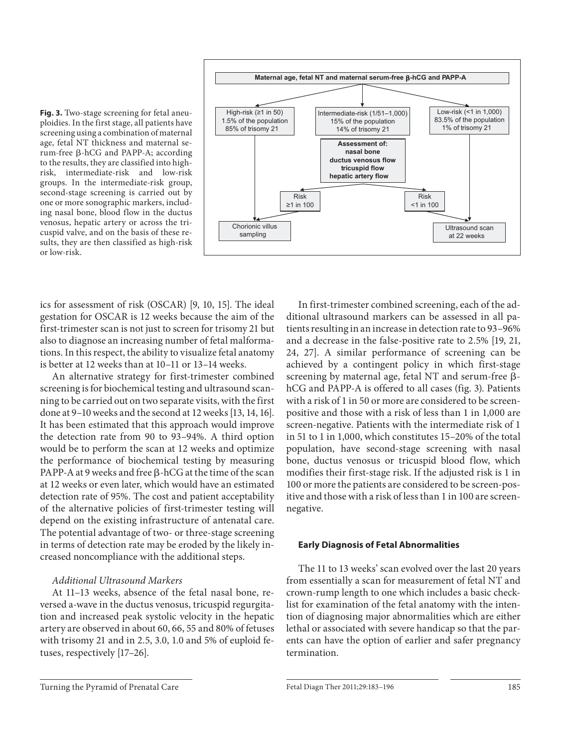**Fig. 3.** Two-stage screening for fetal aneuploidies. In the first stage, all patients have screening using a combination of maternal age, fetal NT thickness and maternal serum-free  $\beta$ -hCG and PAPP-A; according to the results, they are classified into highrisk, intermediate-risk and low-risk groups. In the intermediate-risk group, second-stage screening is carried out by one or more sonographic markers, including nasal bone, blood flow in the ductus venosus, hepatic artery or across the tricuspid valve, and on the basis of these results, they are then classified as high-risk or low-risk.



ics for assessment of risk (OSCAR) [9, 10, 15]. The ideal gestation for OSCAR is 12 weeks because the aim of the first-trimester scan is not just to screen for trisomy 21 but also to diagnose an increasing number of fetal malformations. In this respect, the ability to visualize fetal anatomy is better at 12 weeks than at 10–11 or 13–14 weeks.

 An alternative strategy for first-trimester combined screening is for biochemical testing and ultrasound scanning to be carried out on two separate visits, with the first done at 9-10 weeks and the second at 12 weeks [13, 14, 16]. It has been estimated that this approach would improve the detection rate from 90 to 93–94%. A third option would be to perform the scan at 12 weeks and optimize the performance of biochemical testing by measuring PAPP-A at 9 weeks and free  $\beta$ -hCG at the time of the scan at 12 weeks or even later, which would have an estimated detection rate of 95%. The cost and patient acceptability of the alternative policies of first-trimester testing will depend on the existing infrastructure of antenatal care. The potential advantage of two- or three-stage screening in terms of detection rate may be eroded by the likely increased noncompliance with the additional steps.

## *Additional Ultrasound Markers*

 At 11–13 weeks, absence of the fetal nasal bone, reversed a-wave in the ductus venosus, tricuspid regurgitation and increased peak systolic velocity in the hepatic artery are observed in about 60, 66, 55 and 80% of fetuses with trisomy 21 and in 2.5, 3.0, 1.0 and 5% of euploid fetuses, respectively [17-26].

 In first-trimester combined screening, each of the additional ultrasound markers can be assessed in all patients resulting in an increase in detection rate to 93–96% and a decrease in the false-positive rate to 2.5% [19, 21, 24, 27. A similar performance of screening can be achieved by a contingent policy in which first-stage screening by maternal age, fetal NT and serum-free  $\beta$ hCG and PAPP-A is offered to all cases (fig. 3). Patients with a risk of 1 in 50 or more are considered to be screenpositive and those with a risk of less than 1 in 1,000 are screen-negative. Patients with the intermediate risk of 1 in 51 to 1 in 1,000, which constitutes 15–20% of the total population, have second-stage screening with nasal bone, ductus venosus or tricuspid blood flow, which modifies their first-stage risk. If the adjusted risk is 1 in 100 or more the patients are considered to be screen-positive and those with a risk of less than 1 in 100 are screennegative.

#### **Early Diagnosis of Fetal Abnormalities**

 The 11 to 13 weeks' scan evolved over the last 20 years from essentially a scan for measurement of fetal NT and crown-rump length to one which includes a basic checklist for examination of the fetal anatomy with the intention of diagnosing major abnormalities which are either lethal or associated with severe handicap so that the parents can have the option of earlier and safer pregnancy termination.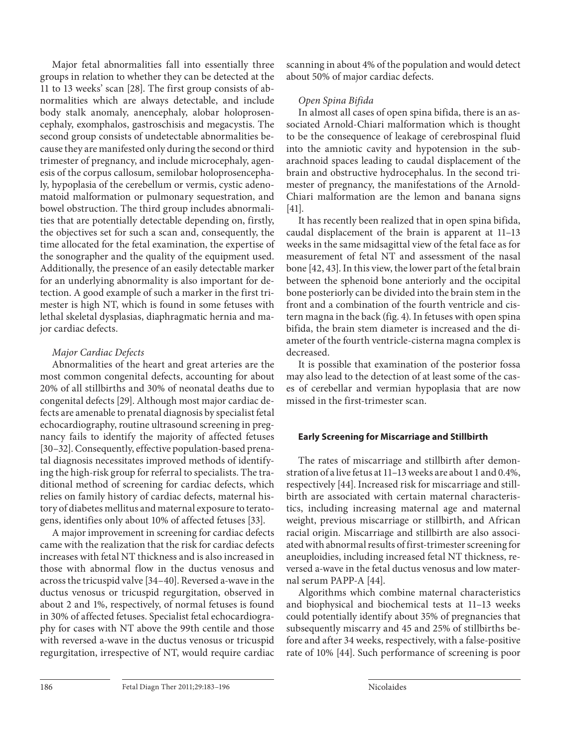Major fetal abnormalities fall into essentially three groups in relation to whether they can be detected at the 11 to 13 weeks' scan [28] . The first group consists of abnormalities which are always detectable, and include body stalk anomaly, anencephaly, alobar holoprosencephaly, exomphalos, gastroschisis and megacystis. The second group consists of undetectable abnormalities because they are manifested only during the second or third trimester of pregnancy, and include microcephaly, agenesis of the corpus callosum, semilobar holoprosencephaly, hypoplasia of the cerebellum or vermis, cystic adenomatoid malformation or pulmonary sequestration, and bowel obstruction. The third group includes abnormalities that are potentially detectable depending on, firstly, the objectives set for such a scan and, consequently, the time allocated for the fetal examination, the expertise of the sonographer and the quality of the equipment used. Additionally, the presence of an easily detectable marker for an underlying abnormality is also important for detection. A good example of such a marker in the first trimester is high NT, which is found in some fetuses with lethal skeletal dysplasias, diaphragmatic hernia and major cardiac defects.

## *Major Cardiac Defects*

 Abnormalities of the heart and great arteries are the most common congenital defects, accounting for about 20% of all stillbirths and 30% of neonatal deaths due to congenital defects [29] . Although most major cardiac defects are amenable to prenatal diagnosis by specialist fetal echocardiography, routine ultrasound screening in pregnancy fails to identify the majority of affected fetuses [30–32] . Consequently, effective population-based prenatal diagnosis necessitates improved methods of identifying the high-risk group for referral to specialists. The traditional method of screening for cardiac defects, which relies on family history of cardiac defects, maternal history of diabetes mellitus and maternal exposure to teratogens, identifies only about 10% of affected fetuses [33] .

 A major improvement in screening for cardiac defects came with the realization that the risk for cardiac defects increases with fetal NT thickness and is also increased in those with abnormal flow in the ductus venosus and across the tricuspid valve [34–40] . Reversed a-wave in the ductus venosus or tricuspid regurgitation, observed in about 2 and 1%, respectively, of normal fetuses is found in 30% of affected fetuses. Specialist fetal echocardiography for cases with NT above the 99th centile and those with reversed a-wave in the ductus venosus or tricuspid regurgitation, irrespective of NT, would require cardiac

scanning in about 4% of the population and would detect about 50% of major cardiac defects.

## *Open Spina Bifida*

 In almost all cases of open spina bifida, there is an associated Arnold-Chiari malformation which is thought to be the consequence of leakage of cerebrospinal fluid into the amniotic cavity and hypotension in the subarachnoid spaces leading to caudal displacement of the brain and obstructive hydrocephalus. In the second trimester of pregnancy, the manifestations of the Arnold-Chiari malformation are the lemon and banana signs  $[41]$ .

 It has recently been realized that in open spina bifida, caudal displacement of the brain is apparent at 11–13 weeks in the same midsagittal view of the fetal face as for measurement of fetal NT and assessment of the nasal bone [42, 43]. In this view, the lower part of the fetal brain between the sphenoid bone anteriorly and the occipital bone posteriorly can be divided into the brain stem in the front and a combination of the fourth ventricle and cistern magna in the back (fig. 4). In fetuses with open spina bifida, the brain stem diameter is increased and the diameter of the fourth ventricle-cisterna magna complex is decreased.

 It is possible that examination of the posterior fossa may also lead to the detection of at least some of the cases of cerebellar and vermian hypoplasia that are now missed in the first-trimester scan.

## **Early Screening for Miscarriage and Stillbirth**

 The rates of miscarriage and stillbirth after demonstration of a live fetus at 11–13 weeks are about 1 and 0.4%, respectively [44]. Increased risk for miscarriage and stillbirth are associated with certain maternal characteristics, including increasing maternal age and maternal weight, previous miscarriage or stillbirth, and African racial origin. Miscarriage and stillbirth are also associated with abnormal results of first-trimester screening for aneuploidies, including increased fetal NT thickness, reversed a-wave in the fetal ductus venosus and low maternal serum PAPP-A [44] .

 Algorithms which combine maternal characteristics and biophysical and biochemical tests at 11–13 weeks could potentially identify about 35% of pregnancies that subsequently miscarry and 45 and 25% of stillbirths before and after 34 weeks, respectively, with a false-positive rate of 10% [44]. Such performance of screening is poor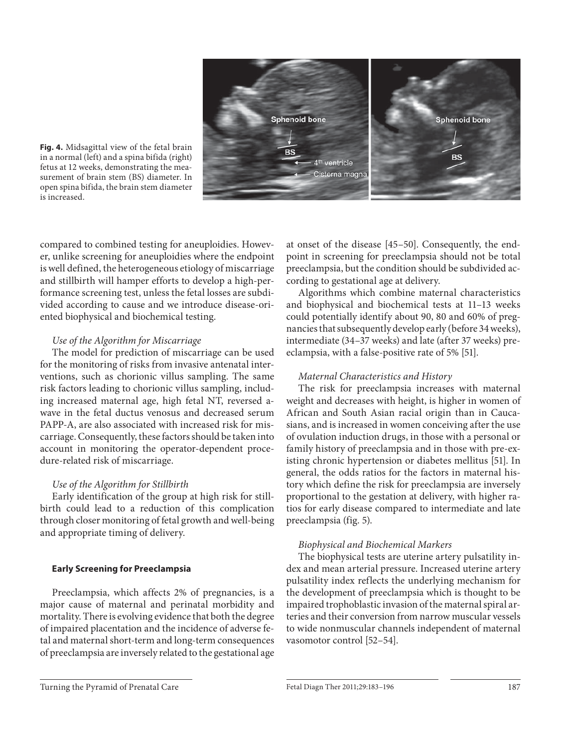

**Fig. 4.** Midsagittal view of the fetal brain in a normal (left) and a spina bifida (right) fetus at 12 weeks, demonstrating the measurement of brain stem (BS) diameter. In open spina bifida, the brain stem diameter is increased.

compared to combined testing for aneuploidies. However, unlike screening for aneuploidies where the endpoint is well defined, the heterogeneous etiology of miscarriage and stillbirth will hamper efforts to develop a high-performance screening test, unless the fetal losses are subdivided according to cause and we introduce disease-oriented biophysical and biochemical testing.

#### *Use of the Algorithm for Miscarriage*

 The model for prediction of miscarriage can be used for the monitoring of risks from invasive antenatal interventions, such as chorionic villus sampling. The same risk factors leading to chorionic villus sampling, including increased maternal age, high fetal NT, reversed awave in the fetal ductus venosus and decreased serum PAPP-A, are also associated with increased risk for miscarriage. Consequently, these factors should be taken into account in monitoring the operator-dependent procedure-related risk of miscarriage.

#### *Use of the Algorithm for Stillbirth*

 Early identification of the group at high risk for stillbirth could lead to a reduction of this complication through closer monitoring of fetal growth and well-being and appropriate timing of delivery.

#### **Early Screening for Preeclampsia**

 Preeclampsia, which affects 2% of pregnancies, is a major cause of maternal and perinatal morbidity and mortality. There is evolving evidence that both the degree of impaired placentation and the incidence of adverse fetal and maternal short-term and long-term consequences of preeclampsia are inversely related to the gestational age

at onset of the disease [45–50]. Consequently, the endpoint in screening for preeclampsia should not be total preeclampsia, but the condition should be subdivided according to gestational age at delivery.

 Algorithms which combine maternal characteristics and biophysical and biochemical tests at 11–13 weeks could potentially identify about 90, 80 and 60% of pregnancies that subsequently develop early (before 34 weeks), intermediate (34–37 weeks) and late (after 37 weeks) preeclampsia, with a false-positive rate of 5% [51] .

#### *Maternal Characteristics and History*

 The risk for preeclampsia increases with maternal weight and decreases with height, is higher in women of African and South Asian racial origin than in Caucasians, and is increased in women conceiving after the use of ovulation induction drugs, in those with a personal or family history of preeclampsia and in those with pre-existing chronic hypertension or diabetes mellitus [51]. In general, the odds ratios for the factors in maternal history which define the risk for preeclampsia are inversely proportional to the gestation at delivery, with higher ratios for early disease compared to intermediate and late preeclampsia (fig. 5).

#### *Biophysical and Biochemical Markers*

 The biophysical tests are uterine artery pulsatility index and mean arterial pressure. Increased uterine artery pulsatility index reflects the underlying mechanism for the development of preeclampsia which is thought to be impaired trophoblastic invasion of the maternal spiral arteries and their conversion from narrow muscular vessels to wide nonmuscular channels independent of maternal vasomotor control [52-54].

Turning the Pyramid of Prenatal Care Fetal Diagn Ther 2011;29:183-196 187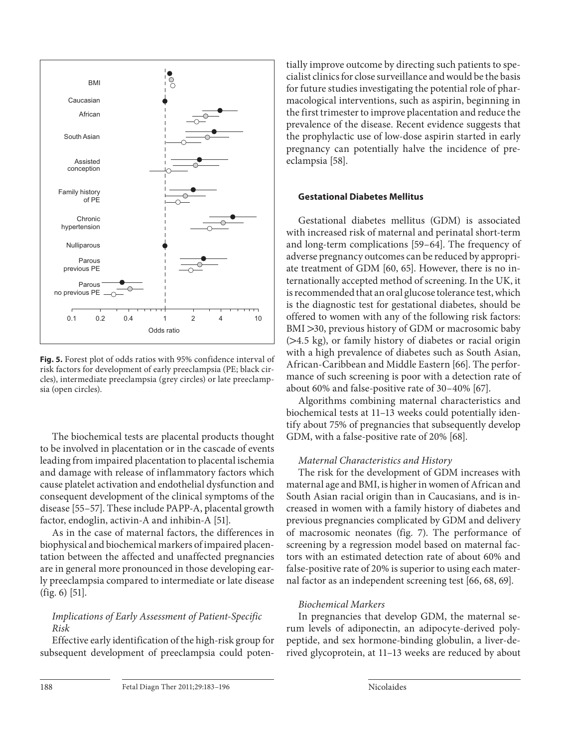

**Fig. 5.** Forest plot of odds ratios with 95% confidence interval of risk factors for development of early preeclampsia (PE; black circles), intermediate preeclampsia (grey circles) or late preeclampsia (open circles).

 The biochemical tests are placental products thought to be involved in placentation or in the cascade of events leading from impaired placentation to placental ischemia and damage with release of inflammatory factors which cause platelet activation and endothelial dysfunction and consequent development of the clinical symptoms of the disease [55-57]. These include PAPP-A, placental growth factor, endoglin, activin-A and inhibin-A [51] .

 As in the case of maternal factors, the differences in biophysical and biochemical markers of impaired placentation between the affected and unaffected pregnancies are in general more pronounced in those developing early preeclampsia compared to intermediate or late disease  $(fig. 6)$  [51].

# *Implications of Early Assessment of Patient-Specific Risk*

 Effective early identification of the high-risk group for subsequent development of preeclampsia could potentially improve outcome by directing such patients to specialist clinics for close surveillance and would be the basis for future studies investigating the potential role of pharmacological interventions, such as aspirin, beginning in the first trimester to improve placentation and reduce the prevalence of the disease. Recent evidence suggests that the prophylactic use of low-dose aspirin started in early pregnancy can potentially halve the incidence of preeclampsia [58].

#### **Gestational Diabetes Mellitus**

 Gestational diabetes mellitus (GDM) is associated with increased risk of maternal and perinatal short-term and long-term complications [59–64]. The frequency of adverse pregnancy outcomes can be reduced by appropriate treatment of GDM [60, 65]. However, there is no internationally accepted method of screening. In the UK, it is recommended that an oral glucose tolerance test, which is the diagnostic test for gestational diabetes, should be offered to women with any of the following risk factors: BMI >30, previous history of GDM or macrosomic baby  $($ >4.5 kg), or family history of diabetes or racial origin with a high prevalence of diabetes such as South Asian, African-Caribbean and Middle Eastern [66]. The performance of such screening is poor with a detection rate of about 60% and false-positive rate of 30–40% [67] .

 Algorithms combining maternal characteristics and biochemical tests at 11–13 weeks could potentially identify about 75% of pregnancies that subsequently develop GDM, with a false-positive rate of 20% [68].

#### *Maternal Characteristics and History*

 The risk for the development of GDM increases with maternal age and BMI, is higher in women of African and South Asian racial origin than in Caucasians, and is increased in women with a family history of diabetes and previous pregnancies complicated by GDM and delivery of macrosomic neonates (fig. 7). The performance of screening by a regression model based on maternal factors with an estimated detection rate of about 60% and false-positive rate of 20% is superior to using each maternal factor as an independent screening test [66, 68, 69].

#### *Biochemical Markers*

 In pregnancies that develop GDM, the maternal serum levels of adiponectin, an adipocyte-derived polypeptide, and sex hormone-binding globulin, a liver-derived glycoprotein, at 11–13 weeks are reduced by about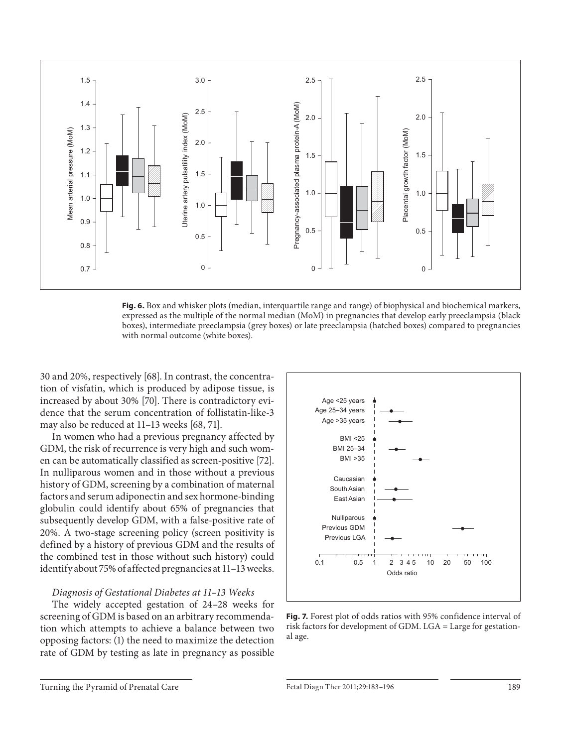

**Fig. 6.** Box and whisker plots (median, interquartile range and range) of biophysical and biochemical markers, expressed as the multiple of the normal median (MoM) in pregnancies that develop early preeclampsia (black boxes), intermediate preeclampsia (grey boxes) or late preeclampsia (hatched boxes) compared to pregnancies with normal outcome (white boxes).

30 and 20%, respectively [68] . In contrast, the concentration of visfatin, which is produced by adipose tissue, is increased by about 30% [70]. There is contradictory evidence that the serum concentration of follistatin-like-3 may also be reduced at 11-13 weeks [68, 71].

 In women who had a previous pregnancy affected by GDM, the risk of recurrence is very high and such women can be automatically classified as screen-positive [72] . In nulliparous women and in those without a previous history of GDM, screening by a combination of maternal factors and serum adiponectin and sex hormone-binding globulin could identify about 65% of pregnancies that subsequently develop GDM, with a false-positive rate of 20%. A two-stage screening policy (screen positivity is defined by a history of previous GDM and the results of the combined test in those without such history) could identify about 75% of affected pregnancies at 11–13 weeks.

#### *Diagnosis of Gestational Diabetes at 11–13 Weeks*

 The widely accepted gestation of 24–28 weeks for screening of GDM is based on an arbitrary recommendation which attempts to achieve a balance between two opposing factors: (1) the need to maximize the detection rate of GDM by testing as late in pregnancy as possible



**Fig. 7.** Forest plot of odds ratios with 95% confidence interval of risk factors for development of GDM. LGA = Large for gestational age.

Turning the Pyramid of Prenatal Care Fetal Diagn Ther 2011;29:183-196 189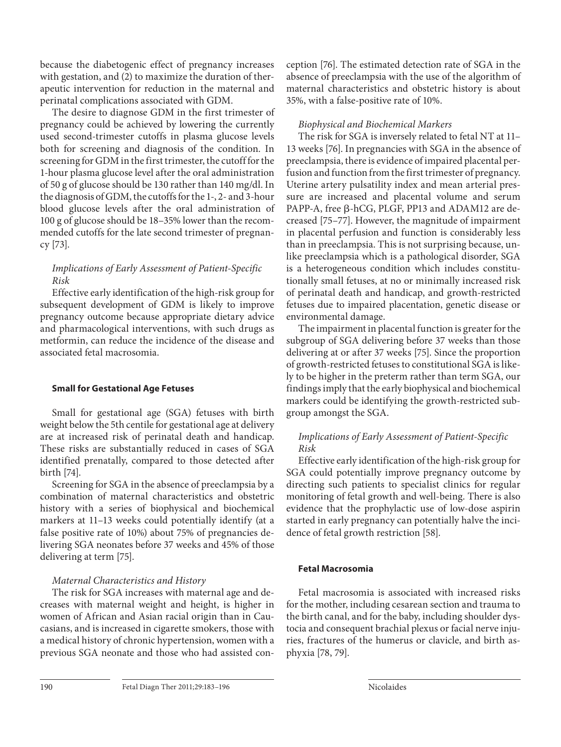because the diabetogenic effect of pregnancy increases with gestation, and (2) to maximize the duration of therapeutic intervention for reduction in the maternal and perinatal complications associated with GDM.

 The desire to diagnose GDM in the first trimester of pregnancy could be achieved by lowering the currently used second-trimester cutoffs in plasma glucose levels both for screening and diagnosis of the condition. In screening for GDM in the first trimester, the cutoff for the 1-hour plasma glucose level after the oral administration of 50 g of glucose should be 130 rather than 140 mg/dl. In the diagnosis of GDM, the cutoffs for the 1-, 2- and 3-hour blood glucose levels after the oral administration of 100 g of glucose should be 18–35% lower than the recommended cutoffs for the late second trimester of pregnancy [73].

# *Implications of Early Assessment of Patient-Specific Risk*

 Effective early identification of the high-risk group for subsequent development of GDM is likely to improve pregnancy outcome because appropriate dietary advice and pharmacological interventions, with such drugs as metformin, can reduce the incidence of the disease and associated fetal macrosomia.

## **Small for Gestational Age Fetuses**

 Small for gestational age (SGA) fetuses with birth weight below the 5th centile for gestational age at delivery are at increased risk of perinatal death and handicap. These risks are substantially reduced in cases of SGA identified prenatally, compared to those detected after birth [74].

 Screening for SGA in the absence of preeclampsia by a combination of maternal characteristics and obstetric history with a series of biophysical and biochemical markers at 11–13 weeks could potentially identify (at a false positive rate of 10%) about 75% of pregnancies delivering SGA neonates before 37 weeks and 45% of those delivering at term [75].

# *Maternal Characteristics and History*

 The risk for SGA increases with maternal age and decreases with maternal weight and height, is higher in women of African and Asian racial origin than in Caucasians, and is increased in cigarette smokers, those with a medical history of chronic hypertension, women with a previous SGA neonate and those who had assisted conception [76] . The estimated detection rate of SGA in the absence of preeclampsia with the use of the algorithm of maternal characteristics and obstetric history is about 35%, with a false-positive rate of 10%.

# *Biophysical and Biochemical Markers*

 The risk for SGA is inversely related to fetal NT at 11– 13 weeks [76]. In pregnancies with SGA in the absence of preeclampsia, there is evidence of impaired placental perfusion and function from the first trimester of pregnancy. Uterine artery pulsatility index and mean arterial pressure are increased and placental volume and serum PAPP-A, free  $\beta$ -hCG, PLGF, PP13 and ADAM12 are decreased [75–77] . However, the magnitude of impairment in placental perfusion and function is considerably less than in preeclampsia. This is not surprising because, unlike preeclampsia which is a pathological disorder, SGA is a heterogeneous condition which includes constitutionally small fetuses, at no or minimally increased risk of perinatal death and handicap, and growth-restricted fetuses due to impaired placentation, genetic disease or environmental damage.

 The impairment in placental function is greater for the subgroup of SGA delivering before 37 weeks than those delivering at or after 37 weeks [75]. Since the proportion of growth-restricted fetuses to constitutional SGA is likely to be higher in the preterm rather than term SGA, our findings imply that the early biophysical and biochemical markers could be identifying the growth-restricted subgroup amongst the SGA.

# *Implications of Early Assessment of Patient-Specific Risk*

 Effective early identification of the high-risk group for SGA could potentially improve pregnancy outcome by directing such patients to specialist clinics for regular monitoring of fetal growth and well-being. There is also evidence that the prophylactic use of low-dose aspirin started in early pregnancy can potentially halve the incidence of fetal growth restriction [58].

# **Fetal Macrosomia**

 Fetal macrosomia is associated with increased risks for the mother, including cesarean section and trauma to the birth canal, and for the baby, including shoulder dystocia and consequent brachial plexus or facial nerve injuries, fractures of the humerus or clavicle, and birth asphyxia [78, 79].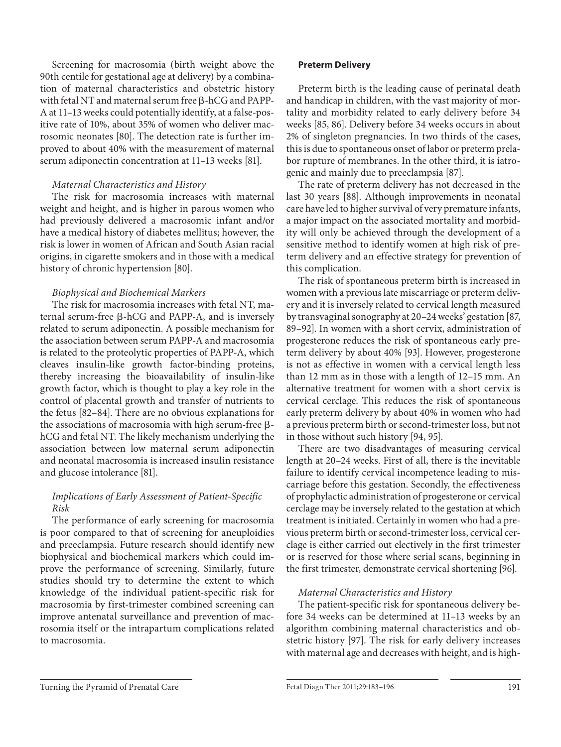Screening for macrosomia (birth weight above the 90th centile for gestational age at delivery) by a combination of maternal characteristics and obstetric history with fetal NT and maternal serum free  $\beta$ -hCG and PAPP-A at 11–13 weeks could potentially identify, at a false-positive rate of 10%, about 35% of women who deliver macrosomic neonates [80]. The detection rate is further improved to about 40% with the measurement of maternal serum adiponectin concentration at 11-13 weeks [81].

## *Maternal Characteristics and History*

 The risk for macrosomia increases with maternal weight and height, and is higher in parous women who had previously delivered a macrosomic infant and/or have a medical history of diabetes mellitus; however, the risk is lower in women of African and South Asian racial origins, in cigarette smokers and in those with a medical history of chronic hypertension [80].

# *Biophysical and Biochemical Markers*

 The risk for macrosomia increases with fetal NT, maternal serum-free  $\beta$ -hCG and PAPP-A, and is inversely related to serum adiponectin. A possible mechanism for the association between serum PAPP-A and macrosomia is related to the proteolytic properties of PAPP-A, which cleaves insulin-like growth factor-binding proteins, thereby increasing the bioavailability of insulin-like growth factor, which is thought to play a key role in the control of placental growth and transfer of nutrients to the fetus [82–84]. There are no obvious explanations for the associations of macrosomia with high serum-free  $\beta$ hCG and fetal NT. The likely mechanism underlying the association between low maternal serum adiponectin and neonatal macrosomia is increased insulin resistance and glucose intolerance [81] .

# *Implications of Early Assessment of Patient-Specific Risk*

 The performance of early screening for macrosomia is poor compared to that of screening for aneuploidies and preeclampsia. Future research should identify new biophysical and biochemical markers which could improve the performance of screening. Similarly, future studies should try to determine the extent to which knowledge of the individual patient-specific risk for macrosomia by first-trimester combined screening can improve antenatal surveillance and prevention of macrosomia itself or the intrapartum complications related to macrosomia.

## **Preterm Delivery**

 Preterm birth is the leading cause of perinatal death and handicap in children, with the vast majority of mortality and morbidity related to early delivery before 34 weeks [85, 86]. Delivery before 34 weeks occurs in about 2% of singleton pregnancies. In two thirds of the cases, this is due to spontaneous onset of labor or preterm prelabor rupture of membranes. In the other third, it is iatrogenic and mainly due to preeclampsia [87] .

 The rate of preterm delivery has not decreased in the last 30 years [88]. Although improvements in neonatal care have led to higher survival of very premature infants, a major impact on the associated mortality and morbidity will only be achieved through the development of a sensitive method to identify women at high risk of preterm delivery and an effective strategy for prevention of this complication.

 The risk of spontaneous preterm birth is increased in women with a previous late miscarriage or preterm delivery and it is inversely related to cervical length measured by transvaginal sonography at 20–24 weeks' gestation [87, 89-92]. In women with a short cervix, administration of progesterone reduces the risk of spontaneous early preterm delivery by about 40% [93]. However, progesterone is not as effective in women with a cervical length less than 12 mm as in those with a length of 12–15 mm. An alternative treatment for women with a short cervix is cervical cerclage. This reduces the risk of spontaneous early preterm delivery by about 40% in women who had a previous preterm birth or second-trimester loss, but not in those without such history [94, 95].

 There are two disadvantages of measuring cervical length at 20–24 weeks. First of all, there is the inevitable failure to identify cervical incompetence leading to miscarriage before this gestation. Secondly, the effectiveness of prophylactic administration of progesterone or cervical cerclage may be inversely related to the gestation at which treatment is initiated. Certainly in women who had a previous preterm birth or second-trimester loss, cervical cerclage is either carried out electively in the first trimester or is reserved for those where serial scans, beginning in the first trimester, demonstrate cervical shortening [96].

## *Maternal Characteristics and History*

 The patient-specific risk for spontaneous delivery before 34 weeks can be determined at 11–13 weeks by an algorithm combining maternal characteristics and obstetric history [97]. The risk for early delivery increases with maternal age and decreases with height, and is high-

#### Turning the Pyramid of Prenatal Care Fetal Diagn Ther 2011;29:183-196 191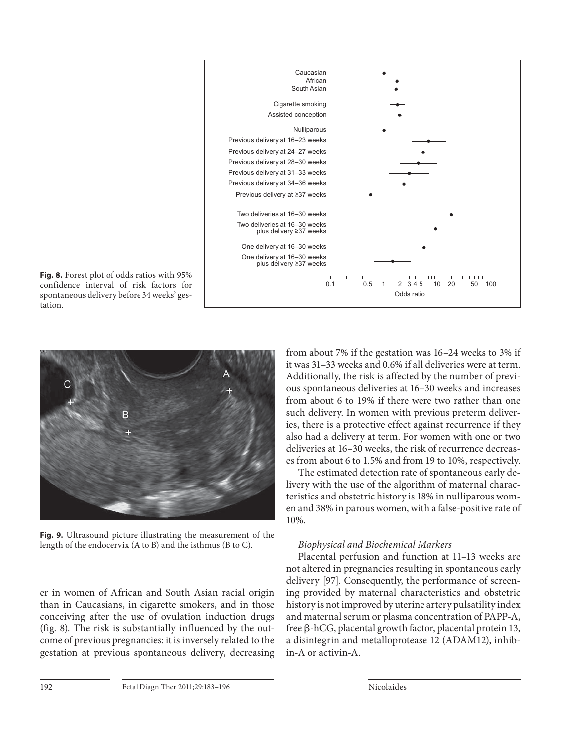

**Fig. 8.** Forest plot of odds ratios with 95% confidence interval of risk factors for spontaneous delivery before 34 weeks' gestation.



**Fig. 9.** Ultrasound picture illustrating the measurement of the length of the endocervix (A to B) and the isthmus (B to C).

er in women of African and South Asian racial origin than in Caucasians, in cigarette smokers, and in those conceiving after the use of ovulation induction drugs (fig. 8). The risk is substantially influenced by the outcome of previous pregnancies: it is inversely related to the gestation at previous spontaneous delivery, decreasing from about 7% if the gestation was 16–24 weeks to 3% if it was 31–33 weeks and 0.6% if all deliveries were at term. Additionally, the risk is affected by the number of previous spontaneous deliveries at 16–30 weeks and increases from about 6 to 19% if there were two rather than one such delivery. In women with previous preterm deliveries, there is a protective effect against recurrence if they also had a delivery at term. For women with one or two deliveries at 16–30 weeks, the risk of recurrence decreases from about 6 to 1.5% and from 19 to 10%, respectively.

 The estimated detection rate of spontaneous early delivery with the use of the algorithm of maternal characteristics and obstetric history is 18% in nulliparous women and 38% in parous women, with a false-positive rate of 10%.

## *Biophysical and Biochemical Markers*

 Placental perfusion and function at 11–13 weeks are not altered in pregnancies resulting in spontaneous early delivery [97]. Consequently, the performance of screening provided by maternal characteristics and obstetric history is not improved by uterine artery pulsatility index and maternal serum or plasma concentration of PAPP-A, free  $\beta$ -hCG, placental growth factor, placental protein 13, a disintegrin and metalloprotease 12 (ADAM12), inhibin-A or activin-A.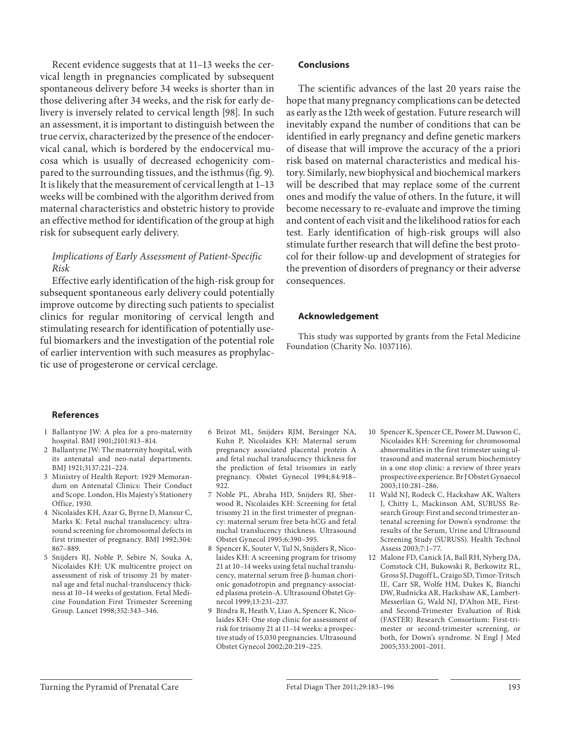Recent evidence suggests that at 11–13 weeks the cervical length in pregnancies complicated by subsequent spontaneous delivery before 34 weeks is shorter than in those delivering after 34 weeks, and the risk for early delivery is inversely related to cervical length [98]. In such an assessment, it is important to distinguish between the true cervix, characterized by the presence of the endocervical canal, which is bordered by the endocervical mucosa which is usually of decreased echogenicity compared to the surrounding tissues, and the isthmus (fig. 9). It is likely that the measurement of cervical length at 1–13 weeks will be combined with the algorithm derived from maternal characteristics and obstetric history to provide an effective method for identification of the group at high risk for subsequent early delivery.

## *Implications of Early Assessment of Patient-Specific Risk*

 Effective early identification of the high-risk group for subsequent spontaneous early delivery could potentially improve outcome by directing such patients to specialist clinics for regular monitoring of cervical length and stimulating research for identification of potentially useful biomarkers and the investigation of the potential role of earlier intervention with such measures as prophylactic use of progesterone or cervical cerclage.

#### **Conclusions**

 The scientific advances of the last 20 years raise the hope that many pregnancy complications can be detected as early as the 12th week of gestation. Future research will inevitably expand the number of conditions that can be identified in early pregnancy and define genetic markers of disease that will improve the accuracy of the a priori risk based on maternal characteristics and medical history. Similarly, new biophysical and biochemical markers will be described that may replace some of the current ones and modify the value of others. In the future, it will become necessary to re-evaluate and improve the timing and content of each visit and the likelihood ratios for each test. Early identification of high-risk groups will also stimulate further research that will define the best protocol for their follow-up and development of strategies for the prevention of disorders of pregnancy or their adverse consequences.

#### **Acknowledgement**

 This study was supported by grants from the Fetal Medicine Foundation (Charity No. 1037116).

#### **References**

- 1 Ballantyne JW: A plea for a pro-maternity hospital. BMJ 1901;2101:813–814.
- 2 Ballantyne JW: The maternity hospital, with its antenatal and neo-natal departments. BMJ 1921;3137:221–224.
- 3 Ministry of Health Report: 1929 Memorandum on Antenatal Clinics: Their Conduct and Scope. London, His Majesty's Stationery Office, 1930.
- 4 Nicolaides KH, Azar G, Byrne D, Mansur C, Marks K: Fetal nuchal translucency: ultrasound screening for chromosomal defects in first trimester of pregnancy. BMJ 1992;304: 867–889.
- 5 Snijders RJ, Noble P, Sebire N, Souka A, Nicolaides KH: UK multicentre project on assessment of risk of trisomy 21 by maternal age and fetal nuchal-translucency thickness at 10–14 weeks of gestation. Fetal Medicine Foundation First Trimester Screening Group. Lancet 1998;352:343–346.
- 6 Brizot ML, Snijders RJM, Bersinger NA, Kuhn P, Nicolaides KH: Maternal serum pregnancy associated placental protein A and fetal nuchal translucency thickness for the prediction of fetal trisomies in early pregnancy. Obstet Gynecol 1994; 84: 918–  $922$
- 7 Noble PL, Abraha HD, Snijders RJ, Sherwood R, Nicolaides KH: Screening for fetal trisomy 21 in the first trimester of pregnancy: maternal serum free beta-hCG and fetal nuchal translucency thickness. Ultrasound Obstet Gynecol 1995;6:390–395.
- 8 Spencer K, Souter V, Tul N, Snijders R, Nicolaides KH: A screening program for trisomy 21 at 10–14 weeks using fetal nuchal translu $cency$ , maternal serum free  $\beta$ -human chorionic gonadotropin and pregnancy-associated plasma protein-A. Ultrasound Obstet Gynecol 1999;13:231–237.
- 9 Bindra R, Heath V, Liao A, Spencer K, Nicolaides KH: One stop clinic for assessment of risk for trisomy 21 at 11–14 weeks: a prospective study of 15,030 pregnancies. Ultrasound Obstet Gynecol 2002;20:219–225.
- 10 Spencer K, Spencer CE, Power M, Dawson C, Nicolaides KH: Screening for chromosomal abnormalities in the first trimester using ultrasound and maternal serum biochemistry in a one stop clinic: a review of three years prospective experience. Br J Obstet Gynaecol 2003;110:281–286.
- 11 Wald NJ, Rodeck C, Hackshaw AK, Walters J, Chitty L, Mackinson AM, SURUSS Research Group: First and second trimester antenatal screening for Down's syndrome: the results of the Serum, Urine and Ultrasound Screening Study (SURUSS). Health Technol Assess 2003;7:1–77.
- 12 Malone FD, Canick JA, Ball RH, Nyberg DA, Comstock CH, Bukowski R, Berkowitz RL, Gross SJ, Dugoff L, Craigo SD, Timor-Tritsch IE, Carr SR, Wolfe HM, Dukes K, Bianchi DW, Rudnicka AR, Hackshaw AK, Lambert-Messerlian G, Wald NJ, D'Alton ME, Firstand Second-Trimester Evaluation of Risk (FASTER) Research Consortium: First-trimester or second-trimester screening, or both, for Down's syndrome. N Engl J Med 2005;353:2001–2011.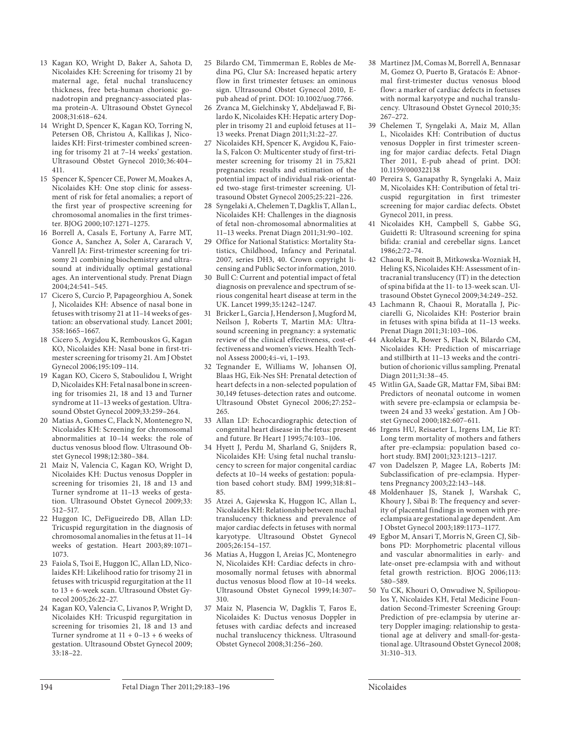- 13 Kagan KO, Wright D, Baker A, Sahota D, Nicolaides KH: Screening for trisomy 21 by maternal age, fetal nuchal translucency thickness, free beta-human chorionic gonadotropin and pregnancy-associated plasma protein-A. Ultrasound Obstet Gynecol 2008;31:618–624.
- 14 Wright D, Spencer K, Kagan KO, Torring N, Petersen OB, Christou A, Kallikas J, Nicolaides KH: First-trimester combined screening for trisomy 21 at 7–14 weeks' gestation. Ultrasound Obstet Gynecol 2010;36:404– 411.
- 15 Spencer K, Spencer CE, Power M, Moakes A, Nicolaides KH: One stop clinic for assessment of risk for fetal anomalies; a report of the first year of prospective screening for chromosomal anomalies in the first trimester. BJOG 2000;107:1271–1275.
- 16 Borrell A, Casals E, Fortuny A, Farre MT, Gonce A, Sanchez A, Soler A, Cararach V, Vanrell JA: First-trimester screening for trisomy 21 combining biochemistry and ultrasound at individually optimal gestational ages. An interventional study. Prenat Diagn 2004;24:541–545.
- 17 Cicero S, Curcio P, Papageorghiou A, Sonek J, Nicolaides KH: Absence of nasal bone in fetuses with trisomy 21 at 11–14 weeks of gestation: an observational study. Lancet 2001; 358:1665–1667.
- 18 Cicero S, Avgidou K, Rembouskos G, Kagan KO, Nicolaides KH: Nasal bone in first-trimester screening for trisomy 21. Am J Obstet Gynecol 2006;195:109–114.
- 19 Kagan KO, Cicero S, Staboulidou I, Wright D, Nicolaides KH: Fetal nasal bone in screening for trisomies 21, 18 and 13 and Turner syndrome at 11–13 weeks of gestation. Ultrasound Obstet Gynecol 2009;33:259–264.
- 20 Matias A, Gomes C, Flack N, Montenegro N, Nicolaides KH: Screening for chromosomal abnormalities at 10–14 weeks: the role of ductus venosus blood flow. Ultrasound Obstet Gynecol 1998;12:380–384.
- 21 Maiz N, Valencia C, Kagan KO, Wright D, Nicolaides KH: Ductus venosus Doppler in screening for trisomies 21, 18 and 13 and Turner syndrome at 11–13 weeks of gestation. Ultrasound Obstet Gynecol 2009;33: 512–517.
- 22 Huggon IC, DeFigueiredo DB, Allan LD: Tricuspid regurgitation in the diagnosis of chromosomal anomalies in the fetus at 11–14 weeks of gestation. Heart 2003; 89: 1071– 1073.
- 23 Faiola S, Tsoi E, Huggon IC, Allan LD, Nicolaides KH: Likelihood ratio for trisomy 21 in fetuses with tricuspid regurgitation at the 11 to 13 + 6-week scan. Ultrasound Obstet Gynecol 2005;26:22–27.
- 24 Kagan KO, Valencia C, Livanos P, Wright D, Nicolaides KH: Tricuspid regurgitation in screening for trisomies 21, 18 and 13 and Turner syndrome at  $11 + 0 - 13 + 6$  weeks of gestation. Ultrasound Obstet Gynecol 2009; 33:18–22.
- 25 Bilardo CM, Timmerman E, Robles de Medina PG, Clur SA: Increased hepatic artery flow in first trimester fetuses: an ominous sign. Ultrasound Obstet Gynecol 2010, Epub ahead of print. DOI: 10.1002/uog.7766.
- 26 Zvanca M, Gielchinsky Y, Abdeljawad F, Bilardo K, Nicolaides KH: Hepatic artery Doppler in trisomy 21 and euploid fetuses at 11– 13 weeks. Prenat Diagn 2011;31:22–27.
- 27 Nicolaides KH, Spencer K, Avgidou K, Faiola S, Falcon O: Multicenter study of first-trimester screening for trisomy 21 in 75,821 pregnancies: results and estimation of the potential impact of individual risk-orientated two-stage first-trimester screening. Ultrasound Obstet Gynecol 2005;25:221–226.
- 28 Syngelaki A, Chelemen T, Dagklis T, Allan L, Nicolaides KH: Challenges in the diagnosis of fetal non-chromosomal abnormalities at 11–13 weeks. Prenat Diagn 2011;31:90–102.
- 29 Office for National Statistics: Mortality Statistics, Childhood, Infancy and Perinatal. 2007, series DH3, 40. Crown copyright licensing and Public Sector information, 2010.
- 30 Bull C: Current and potential impact of fetal diagnosis on prevalence and spectrum of serious congenital heart disease at term in the UK. Lancet 1999;35:1242–1247.
- Bricker L, Garcia J, Henderson J, Mugford M, Neilson J, Roberts T, Martin MA: Ultrasound screening in pregnancy: a systematic review of the clinical effectiveness, cost-effectiveness and women's views. Health Technol Assess 2000;4:i–vi, 1–193.
- 32 Tegnander E, Williams W, Johansen OJ, Blaas HG, Eik-Nes SH: Prenatal detection of heart defects in a non-selected population of 30,149 fetuses-detection rates and outcome. Ultrasound Obstet Gynecol 2006;27:252– 265.
- 33 Allan LD: Echocardiographic detection of congenital heart disease in the fetus: present and future. Br Heart J 1995;74:103–106.
- 34 Hyett J, Perdu M, Sharland G, Snijders R, Nicolaides KH: Using fetal nuchal translucency to screen for major congenital cardiac defects at 10–14 weeks of gestation: population based cohort study. BMJ 1999;318:81– 85.
- 35 Atzei A, Gajewska K, Huggon IC, Allan L, Nicolaides KH: Relationship between nuchal translucency thickness and prevalence of major cardiac defects in fetuses with normal karyotype. Ultrasound Obstet Gynecol 2005;26:154–157.
- 36 Matias A, Huggon I, Areias JC, Montenegro N, Nicolaides KH: Cardiac defects in chromosomally normal fetuses with abnormal ductus venosus blood flow at 10–14 weeks. Ultrasound Obstet Gynecol 1999; 14: 307– 310.
- 37 Maiz N, Plasencia W, Dagklis T, Faros E, Nicolaides K: Ductus venosus Doppler in fetuses with cardiac defects and increased nuchal translucency thickness. Ultrasound Obstet Gynecol 2008;31:256–260.
- 38 Martinez JM, Comas M, Borrell A, Bennasar M, Gomez O, Puerto B, Gratacós E: Abnormal first-trimester ductus venosus blood flow: a marker of cardiac defects in foetuses with normal karyotype and nuchal translucency. Ultrasound Obstet Gynecol 2010;35: 267–272.
- 39 Chelemen T, Syngelaki A, Maiz M, Allan L, Nicolaides KH: Contribution of ductus venosus Doppler in first trimester screening for major cardiac defects. Fetal Diagn Ther 2011, E-pub ahead of print. DOI: 10.1159/000322138
- 40 Pereira S, Ganapathy R, Syngelaki A, Maiz M, Nicolaides KH: Contribution of fetal tricuspid regurgitation in first trimester screening for major cardiac defects. Obstet Gynecol 2011, in press.
- 41 Nicolaides KH, Campbell S, Gabbe SG, Guidetti R: Ultrasound screening for spina bifida: cranial and cerebellar signs. Lancet 1986;2:72–74.
- 42 Chaoui R, Benoit B, Mitkowska-Wozniak H, Heling KS, Nicolaides KH: Assessment of intracranial translucency (IT) in the detection of spina bifida at the 11- to 13-week scan. Ultrasound Obstet Gynecol 2009;34:249–252.
- 43 Lachmann R, Chaoui R, Moratalla J, Picciarelli G, Nicolaides KH: Posterior brain in fetuses with spina bifida at 11–13 weeks. Prenat Diagn 2011;31:103–106.
- 44 Akolekar R, Bower S, Flack N, Bilardo CM, Nicolaides KH: Prediction of miscarriage and stillbirth at 11–13 weeks and the contribution of chorionic villus sampling. Prenatal Diagn 2011;31:38–45.
- 45 Witlin GA, Saade GR, Mattar FM, Sibai BM: Predictors of neonatal outcome in women with severe pre-eclampsia or eclampsia between 24 and 33 weeks' gestation. Am J Obstet Gynecol 2000;182:607–611.
- 46 Irgens HU, Reisaeter L, Irgens LM, Lie RT: Long term mortality of mothers and fathers after pre-eclampsia: population based cohort study. BMJ 2001;323:1213–1217.
- 47 von Dadelszen P, Magee LA, Roberts JM: Subclassification of pre-eclampsia. Hypertens Pregnancy 2003;22:143–148.
- 48 Moldenhauer JS, Stanek J, Warshak C, Khoury J, Sibai B: The frequency and severity of placental findings in women with preeclampsia are gestational age dependent. Am J Obstet Gynecol 2003;189:1173–1177.
- 49 Egbor M, Ansari T, Morris N, Green CJ, Sibbons PD: Morphometric placental villous and vascular abnormalities in early- and late-onset pre-eclampsia with and without fetal growth restriction. BJOG 2006; 113: 580–589.
- 50 Yu CK, Khouri O, Onwudiwe N, Spiliopoulos Y, Nicolaides KH, Fetal Medicine Foundation Second-Trimester Screening Group: Prediction of pre-eclampsia by uterine artery Doppler imaging: relationship to gestational age at delivery and small-for-gestational age. Ultrasound Obstet Gynecol 2008; 31:310–313.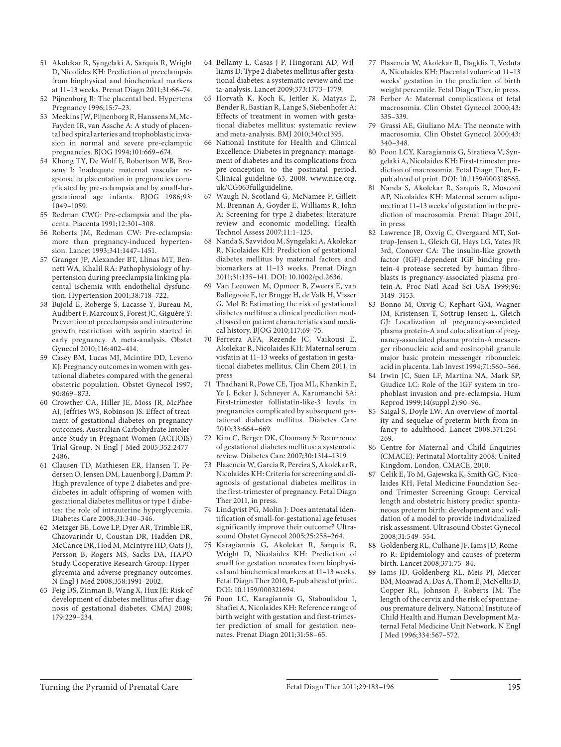- 51 Akolekar R, Syngelaki A, Sarquis R, Wright D, Nicolides KH: Prediction of preeclampsia from biophysical and biochemical markers at 11–13 weeks. Prenat Diagn 2011;31:66–74.
- 52 Pijnenborg R: The placental bed. Hypertens Pregnancy 1996;15:7–23.
- 53 Meekins JW, Pijnenborg R, Hanssens M, Mc-Fayden IR, van Assche A: A study of placental bed spiral arteries and trophoblastic invasion in normal and severe pre-eclamptic pregnancies. BJOG 1994;101:669–674.
- 54 Khong TY, De Wolf F, Robertson WB, Brosens I: Inadequate maternal vascular response to placentation in pregnancies complicated by pre-eclampsia and by small-forgestational age infants. BJOG 1986; 93: 1049–1059.
- 55 Redman CWG: Pre-eclampsia and the placenta. Placenta 1991;12:301–308.
- 56 Roberts JM, Redman CW: Pre-eclampsia: more than pregnancy-induced hypertension. Lancet 1993;341:1447–1451.
- 57 Granger JP, Alexander BT, Llinas MT, Bennett WA, Khalil RA: Pathophysiology of hypertension during preeclampsia linking placental ischemia with endothelial dysfunction. Hypertension 2001;38:718–722.
- 58 Bujold E, Roberge S, Lacasse Y, Bureau M, Audibert F, Marcoux S, Forest JC, Giguère Y: Prevention of preeclampsia and intrauterine growth restriction with aspirin started in early pregnancy. A meta-analysis. Obstet Gynecol 2010;116:402–414.
- 59 Casey BM, Lucas MJ, Mcintire DD, Leveno KJ: Pregnancy outcomes in women with gestational diabetes compared with the general obstetric population. Obstet Gynecol 1997; 90:869–873.
- 60 Crowther CA, Hiller JE, Moss JR, McPhee AJ, Jeffries WS, Robinson JS: Effect of treatment of gestational diabetes on pregnancy outcomes. Australian Carbohydrate Intolerance Study in Pregnant Women (ACHOIS) Trial Group. N Engl J Med 2005;352:2477– 2486.
- 61 Clausen TD, Mathiesen ER, Hansen T, Pedersen O, Jensen DM, Lauenborg J, Damm P: High prevalence of type 2 diabetes and prediabetes in adult offspring of women with gestational diabetes mellitus or type 1 diabetes: the role of intrauterine hyperglycemia. Diabetes Care 2008;31:340–346.
- 62 Metzger BE, Lowe LP, Dyer AR, Trimble ER, Chaovarindr U, Coustan DR, Hadden DR, McCance DR, Hod M, McIntyre HD, Oats JJ, Persson B, Rogers MS, Sacks DA, HAPO Study Cooperative Research Group: Hyperglycemia and adverse pregnancy outcomes. N Engl J Med 2008;358:1991–2002.
- 63 Feig DS, Zinman B, Wang X, Hux JE: Risk of development of diabetes mellitus after diagnosis of gestational diabetes. CMAJ 2008; 179:229–234.
- 64 Bellamy L, Casas J-P, Hingorani AD, Williams D: Type 2 diabetes mellitus after gestational diabetes: a systematic review and meta-analysis. Lancet 2009;373:1773–1779.
- 65 Horvath K, Koch K, Jeitler K, Matyas E, Bender R, Bastian R, Lange S, Siebenhofer A: Effects of treatment in women with gestational diabetes mellitus: systematic review and meta-analysis. BMJ 2010;340:c1395.
- 66 National Institute for Health and Clinical Excellence: Diabetes in pregnancy: management of diabetes and its complications from pre-conception to the postnatal period. Clinical guideline 63, 2008. www.nice.org. uk/CG063fullguideline.
- 67 Waugh N, Scotland G, McNamee P, Gillett M, Brennan A, Goyder E, Williams R, John A: Screening for type 2 diabetes: literature review and economic modelling. Health Technol Assess 2007;11:1–125.
- 68 Nanda S, Savvidou M, Syngelaki A, Akolekar R, Nicolaides KH: Prediction of gestational diabetes mellitus by maternal factors and biomarkers at 11–13 weeks. Prenat Diagn 2011;31:135–141. DOI: 10.1002/pd.2636.
- Van Leeuwen M, Opmeer B, Zweers E, van Ballegooie E, ter Brugge H, de Valk H, Visser G, Mol B: Estimating the risk of gestational diabetes mellitus: a clinical prediction model based on patient characteristics and medical history. BJOG 2010;117:69–75.
- 70 Ferreira AFA, Rezende JC, Vaikousi E, Akolekar R, Nicolaides KH: Maternal serum visfatin at 11–13 weeks of gestation in gestational diabetes mellitus. Clin Chem 2011, in press
- 71 Thadhani R, Powe CE, Tjoa ML, Khankin E, Ye J, Ecker J, Schneyer A, Karumanchi SA: First-trimester follistatin-like-3 levels in pregnancies complicated by subsequent gestational diabetes mellitus. Diabetes Care 2010;33:664–669.
- 72 Kim C, Berger DK, Chamany S: Recurrence of gestational diabetes mellitus: a systematic review. Diabetes Care 2007;30:1314–1319.
- 73 Plasencia W, Garcia R, Pereira S, Akolekar R, Nicolaides KH: Criteria for screening and diagnosis of gestational diabetes mellitus in the first-trimester of pregnancy. Fetal Diagn Ther 2011, in press.
- 74 Lindqvist PG, Molin J: Does antenatal identification of small-for-gestational age fetuses significantly improve their outcome? Ultrasound Obstet Gynecol 2005;25:258–264.
- 75 Karagiannis G, Akolekar R, Sarquis R, Wright D, Nicolaides KH: Prediction of small for gestation neonates from biophysical and biochemical markers at 11–13 weeks. Fetal Diagn Ther 2010, E-pub ahead of print. DOI: 10.1159/000321694.
- 76 Poon LC, Karagiannis G, Staboulidou I, Shafiei A, Nicolaides KH: Reference range of birth weight with gestation and first-trimester prediction of small for gestation neonates. Prenat Diagn 2011;31:58–65.
- 77 Plasencia W, Akolekar R, Dagklis T, Veduta A, Nicolaides KH: Placental volume at 11–13 weeks' gestation in the prediction of birth weight percentile. Fetal Diagn Ther, in press.
- 78 Ferber A: Maternal complications of fetal macrosomia. Clin Obstet Gynecol 2000;43: 335–339.
- 79 Grassi AE, Giuliano MA: The neonate with macrosomia. Clin Obstet Gynecol 2000;43: 340–348.
- 80 Poon LCY, Karagiannis G, Stratieva V, Syngelaki A, Nicolaides KH: First-trimester prediction of macrosomia. Fetal Diagn Ther, Epub ahead of print. DOI: 10.1159/000318565.
- 81 Nanda S, Akolekar R, Sarquis R, Mosconi AP, Nicolaides KH: Maternal serum adiponectin at 11–13 weeks' of gestation in the prediction of macrosomia. Prenat Diagn 2011, in press
- 82 Lawrence JB, Oxvig C, Overgaard MT, Sottrup-Jensen L, Gleich GJ, Hays LG, Yates JR 3rd, Conover CA: The insulin-like growth factor (IGF)-dependent IGF binding protein-4 protease secreted by human fibroblasts is pregnancy-associated plasma protein-A. Proc Natl Acad Sci USA 1999;96: 3149–3153.
- 83 Bonno M, Oxvig C, Kephart GM, Wagner JM, Kristensen T, Sottrup-Jensen L, Gleich GJ: Localization of pregnancy-associated plasma protein-A and colocalization of pregnancy-associated plasma protein-A messenger ribonucleic acid and eosinophil granule major basic protein messenger ribonucleic acid in placenta. Lab Invest 1994;71:560–566.
- 84 Irwin JC, Suen LF, Martina NA, Mark SP, Giudice LC: Role of the IGF system in trophoblast invasion and pre-eclampsia. Hum Reprod 1999;14(suppl 2):90–96.
- 85 Saigal S, Doyle LW: An overview of mortality and sequelae of preterm birth from infancy to adulthood. Lancet 2008;371:261– 269.
- 86 Centre for Maternal and Child Enquiries (CMACE): Perinatal Mortality 2008: United Kingdom. London, CMACE, 2010.
- 87 Celik E, To M, Gajewska K, Smith GC, Nicolaides KH, Fetal Medicine Foundation Second Trimester Screening Group: Cervical length and obstetric history predict spontaneous preterm birth: development and validation of a model to provide individualized risk assessment. Ultrasound Obstet Gynecol 2008;31:549–554.
- 88 Goldenberg RL, Culhane JF, Iams JD, Romero R: Epidemiology and causes of preterm birth. Lancet 2008;371:75–84.
- Iams JD, Goldenberg RL, Meis PJ, Mercer BM, Moawad A, Das A, Thom E, McNellis D, Copper RL, Johnson F, Roberts JM: The length of the cervix and the risk of spontaneous premature delivery. National Institute of Child Health and Human Development Maternal Fetal Medicine Unit Network. N Engl J Med 1996;334:567–572.